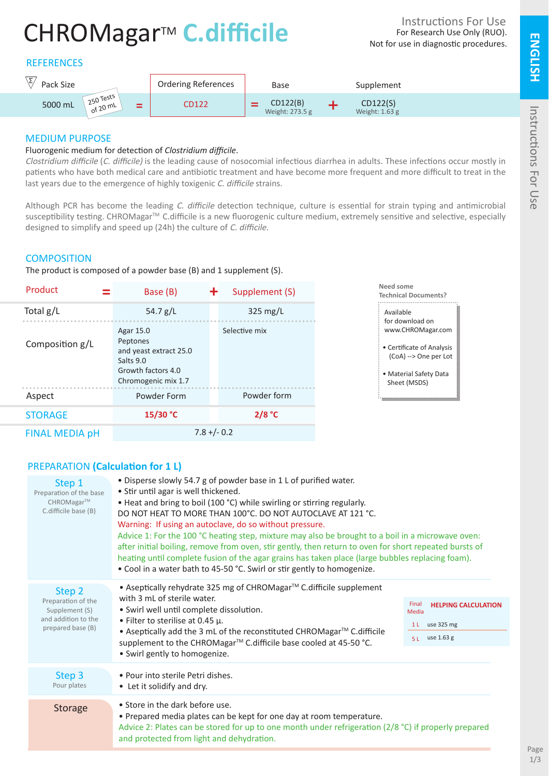# CHROMagar<sup>™</sup> C.difficile

# **REFERENCES**



# MEDIUM PURPOSE

#### Fluorogenic medium for detection of *Clostridium difficile*.

Clostridium difficile (C. difficile) is the leading cause of nosocomial infectious diarrhea in adults. These infections occur mostly in patients who have both medical care and antibiotic treatment and have become more frequent and more difficult to treat in the last years due to the emergence of highly toxigenic C. difficile strains.

Although PCR has become the leading C. difficile detection technique, culture is essential for strain typing and antimicrobial susceptibility testing. CHROMagar<sup>™</sup> C.difficile is a new fluorogenic culture medium, extremely sensitive and selective, especially designed to simplify and speed up (24h) the culture of C. difficile.

#### **COMPOSITION**

The product is composed of a powder base (B) and 1 supplement (S).

| Product<br>=          | ╋<br>Base (B)                                                                                             | Supplement (S)     | Need some<br><b>Technical Documents?</b>                                                                          |
|-----------------------|-----------------------------------------------------------------------------------------------------------|--------------------|-------------------------------------------------------------------------------------------------------------------|
| Total g/L             | 54.7 $g/L$                                                                                                | $325 \text{ mg/L}$ | Available<br>for download on                                                                                      |
| Composition g/L       | Agar 15.0<br>Peptones<br>and yeast extract 25.0<br>Salts 9.0<br>Growth factors 4.0<br>Chromogenic mix 1.7 | Selective mix      | www.CHROMagar.com<br>• Certificate of Analysis<br>(CoA) --> One per Lot<br>• Material Safety Data<br>Sheet (MSDS) |
| Aspect                | Powder Form                                                                                               | Powder form        |                                                                                                                   |
| <b>STORAGE</b>        | 15/30 °C                                                                                                  | 2/8 °C             |                                                                                                                   |
| <b>FINAL MEDIA pH</b> | $7.8 + (-0.2)$                                                                                            |                    |                                                                                                                   |

# PREPARATION **(Calculation for 1 L)**

| Step 1<br>Preparation of the base<br>CHROMagar™<br>C.difficile base (B)                    | • Disperse slowly 54.7 g of powder base in 1 L of purified water.<br>• Stir until agar is well thickened.<br>• Heat and bring to boil (100 °C) while swirling or stirring regularly.<br>DO NOT HEAT TO MORE THAN 100°C. DO NOT AUTOCLAVE AT 121 °C.<br>Warning: If using an autoclave, do so without pressure.<br>Advice 1: For the 100 °C heating step, mixture may also be brought to a boil in a microwave oven:<br>after initial boiling, remove from oven, stir gently, then return to oven for short repeated bursts of<br>heating until complete fusion of the agar grains has taken place (large bubbles replacing foam).<br>• Cool in a water bath to 45-50 °C. Swirl or stir gently to homogenize. |                                                                                  |  |
|--------------------------------------------------------------------------------------------|--------------------------------------------------------------------------------------------------------------------------------------------------------------------------------------------------------------------------------------------------------------------------------------------------------------------------------------------------------------------------------------------------------------------------------------------------------------------------------------------------------------------------------------------------------------------------------------------------------------------------------------------------------------------------------------------------------------|----------------------------------------------------------------------------------|--|
| Step 2<br>Preparation of the<br>Supplement (S)<br>and addition to the<br>prepared base (B) | • Aseptically rehydrate 325 mg of CHROMagar™ C.difficile supplement<br>with 3 mL of sterile water.<br>• Swirl well until complete dissolution.<br>• Filter to sterilise at 0.45 $\mu$ .<br>• Aseptically add the 3 mL of the reconstituted CHROMagar™ C.difficile<br>supplement to the CHROMagar™ C.difficile base cooled at 45-50 °C.<br>• Swirl gently to homogenize.                                                                                                                                                                                                                                                                                                                                      | Final<br><b>HELPING CALCULATION</b><br>Media<br>1 L use 325 mg<br>5 L use 1.63 g |  |
| Step 3<br>Pour plates                                                                      | • Pour into sterile Petri dishes.<br>• Let it solidify and dry.                                                                                                                                                                                                                                                                                                                                                                                                                                                                                                                                                                                                                                              |                                                                                  |  |
| <b>Storage</b>                                                                             | • Store in the dark before use.<br>• Prepared media plates can be kept for one day at room temperature.<br>Advice 2: Plates can be stored for up to one month under refrigeration ( $2/8$ °C) if properly prepared<br>and protected from light and dehydration.                                                                                                                                                                                                                                                                                                                                                                                                                                              |                                                                                  |  |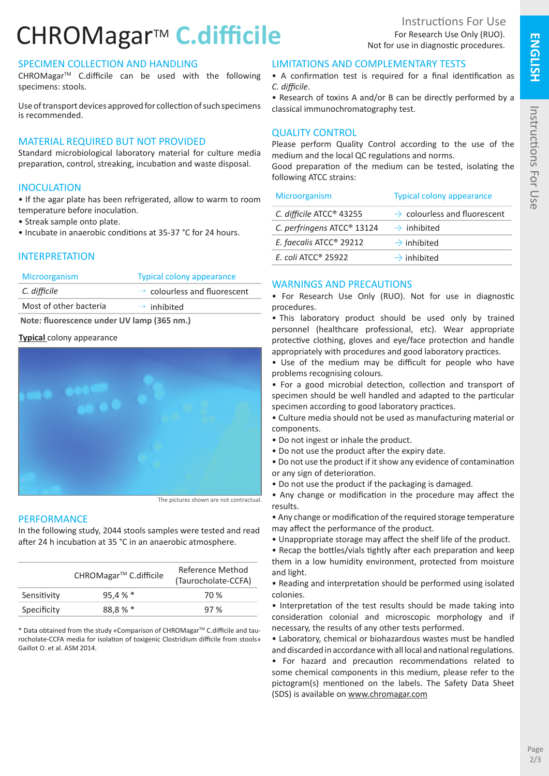# CHROMagar<sup>™</sup> C.difficile

# SPECIMEN COLLECTION AND HANDLING

CHROMagarTM C.difficile can be used with the following specimens: stools.

Use of transport devices approved for collection of such specimens is recommended.

# MATERIAL REQUIRED BUT NOT PROVIDED

Standard microbiological laboratory material for culture media preparation, control, streaking, incubation and waste disposal.

### **INOCULATION**

• If the agar plate has been refrigerated, allow to warm to room temperature before inoculation.

- Streak sample onto plate.
- Incubate in anaerobic conditions at 35-37 °C for 24 hours.

#### INTERPRETATION

| Microorganism | <b>Typical colony appearance</b>         |
|---------------|------------------------------------------|
| C. difficile  | $\rightarrow$ colourless and fluorescent |

Most of other bacteria  $\rightarrow$  inhibited

 **Note: fluorescence under UV lamp (365 nm.)**

#### **Typical** colony appearance



The pictures shown are not contractual.

#### PERFORMANCE

In the following study, 2044 stools samples were tested and read after 24 h incubation at 35 °C in an anaerobic atmosphere.

|             | CHROMagar <sup>™</sup> C.difficile | Reference Method<br>(Taurocholate-CCFA) |
|-------------|------------------------------------|-----------------------------------------|
| Sensitivity | 95.4%                              | 70 %                                    |
| Specificity | 88.8%                              | 97%                                     |

\* Data obtained from the study «Comparison of CHROMagar<sup>TM</sup> C.difficile and taurocholate-CCFA media for isolation of toxigenic Clostridium difficile from stools» Gaillot O. et al. ASM 2014.

# LIMITATIONS AND COMPLEMENTARY TESTS

• A confirmation test is required for a final identification as *C. difficile*.

• Research of toxins A and/or B can be directly performed by a classical immunochromatography test.

# QUALITY CONTROL

Please perform Quality Control according to the use of the medium and the local QC regulations and norms.

Good preparation of the medium can be tested, isolating the following ATCC strains:

| <b>Microorganism</b>                   | <b>Typical colony appearance</b>         |
|----------------------------------------|------------------------------------------|
| C. difficile ATCC <sup>®</sup> 43255   | $\rightarrow$ colourless and fluorescent |
| C. perfringens ATCC <sup>®</sup> 13124 | $\rightarrow$ inhibited                  |
| E. faecalis ATCC <sup>®</sup> 29212    | $\rightarrow$ inhibited                  |
| E. coli ATCC <sup>®</sup> 25922        | $\rightarrow$ inhibited                  |
|                                        |                                          |

# WARNINGS AND PRECAUTIONS

• For Research Use Only (RUO). Not for use in diagnostic procedures.

• This laboratory product should be used only by trained personnel (healthcare professional, etc). Wear appropriate protective clothing, gloves and eye/face protection and handle appropriately with procedures and good laboratory practices.

• Use of the medium may be difficult for people who have problems recognising colours.

• For a good microbial detection, collection and transport of specimen should be well handled and adapted to the particular specimen according to good laboratory practices.

• Culture media should not be used as manufacturing material or components.

- Do not ingest or inhale the product.
- Do not use the product after the expiry date.

• Do not use the product if it show any evidence of contamination or any sign of deterioration.

• Do not use the product if the packaging is damaged.

• Any change or modification in the procedure may affect the results.

• Any change or modification of the required storage temperature may affect the performance of the product.

• Unappropriate storage may affect the shelf life of the product.

• Recap the bottles/vials tightly after each preparation and keep them in a low humidity environment, protected from moisture and light.

• Reading and interpretation should be performed using isolated colonies.

• Interpretation of the test results should be made taking into consideration colonial and microscopic morphology and if necessary, the results of any other tests performed.

• Laboratory, chemical or biohazardous wastes must be handled and discarded in accordance with all local and national regulations.

• For hazard and precaution recommendations related to some chemical components in this medium, please refer to the pictogram(s) mentioned on the labels. The Safety Data Sheet (SDS) is available on www.chromagar.com

**ENGLISH**